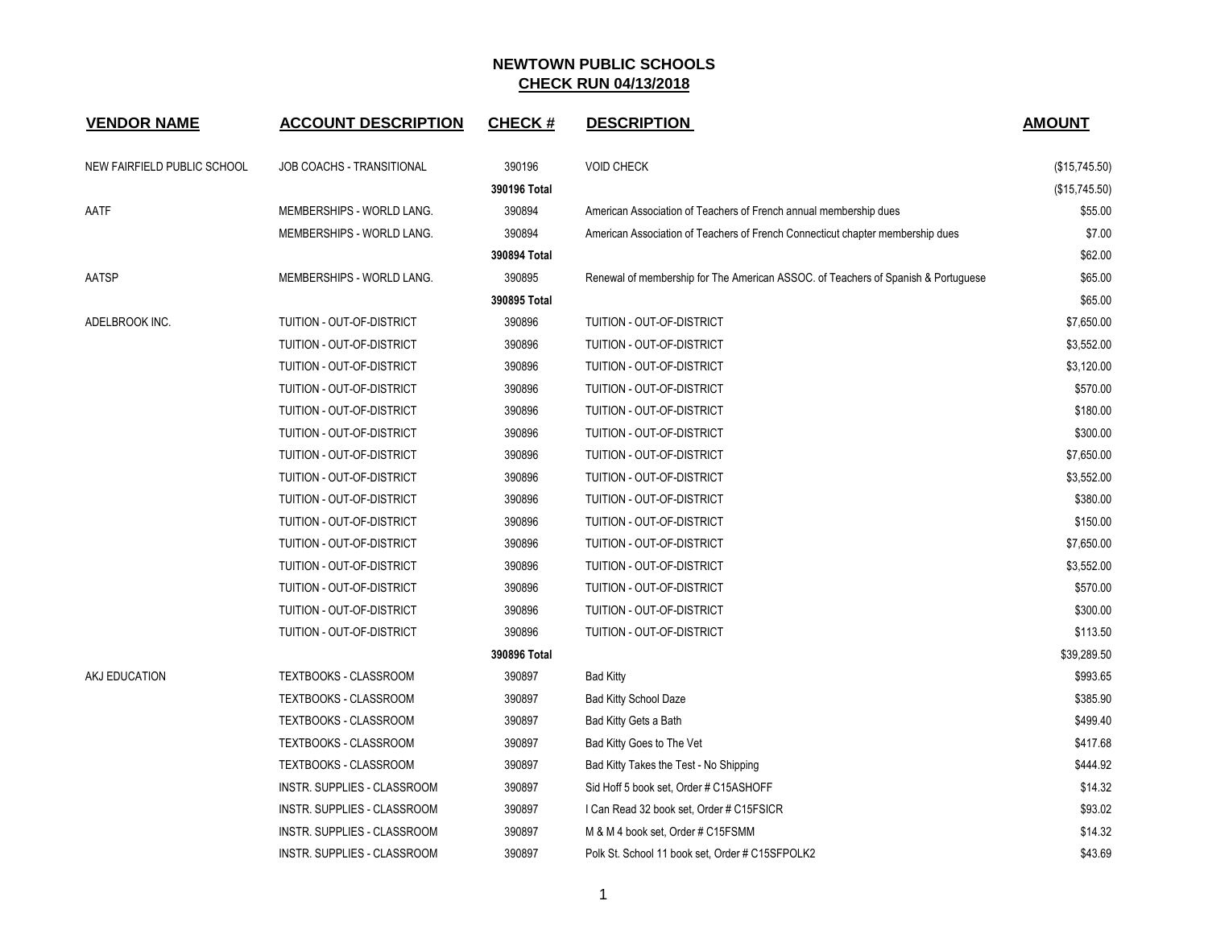| <b>VENDOR NAME</b>          | <b>ACCOUNT DESCRIPTION</b>   | <b>CHECK#</b> | <b>DESCRIPTION</b>                                                                | <b>AMOUNT</b> |
|-----------------------------|------------------------------|---------------|-----------------------------------------------------------------------------------|---------------|
| NEW FAIRFIELD PUBLIC SCHOOL | JOB COACHS - TRANSITIONAL    | 390196        | <b>VOID CHECK</b>                                                                 | (\$15,745.50) |
|                             |                              | 390196 Total  |                                                                                   | (\$15,745.50) |
| AATF                        | MEMBERSHIPS - WORLD LANG.    | 390894        | American Association of Teachers of French annual membership dues                 | \$55.00       |
|                             | MEMBERSHIPS - WORLD LANG.    | 390894        | American Association of Teachers of French Connecticut chapter membership dues    | \$7.00        |
|                             |                              | 390894 Total  |                                                                                   | \$62.00       |
| AATSP                       | MEMBERSHIPS - WORLD LANG.    | 390895        | Renewal of membership for The American ASSOC. of Teachers of Spanish & Portuguese | \$65.00       |
|                             |                              | 390895 Total  |                                                                                   | \$65.00       |
| ADELBROOK INC.              | TUITION - OUT-OF-DISTRICT    | 390896        | TUITION - OUT-OF-DISTRICT                                                         | \$7,650.00    |
|                             | TUITION - OUT-OF-DISTRICT    | 390896        | TUITION - OUT-OF-DISTRICT                                                         | \$3,552.00    |
|                             | TUITION - OUT-OF-DISTRICT    | 390896        | TUITION - OUT-OF-DISTRICT                                                         | \$3,120.00    |
|                             | TUITION - OUT-OF-DISTRICT    | 390896        | TUITION - OUT-OF-DISTRICT                                                         | \$570.00      |
|                             | TUITION - OUT-OF-DISTRICT    | 390896        | TUITION - OUT-OF-DISTRICT                                                         | \$180.00      |
|                             | TUITION - OUT-OF-DISTRICT    | 390896        | TUITION - OUT-OF-DISTRICT                                                         | \$300.00      |
|                             | TUITION - OUT-OF-DISTRICT    | 390896        | TUITION - OUT-OF-DISTRICT                                                         | \$7,650.00    |
|                             | TUITION - OUT-OF-DISTRICT    | 390896        | TUITION - OUT-OF-DISTRICT                                                         | \$3,552.00    |
|                             | TUITION - OUT-OF-DISTRICT    | 390896        | TUITION - OUT-OF-DISTRICT                                                         | \$380.00      |
|                             | TUITION - OUT-OF-DISTRICT    | 390896        | TUITION - OUT-OF-DISTRICT                                                         | \$150.00      |
|                             | TUITION - OUT-OF-DISTRICT    | 390896        | TUITION - OUT-OF-DISTRICT                                                         | \$7,650.00    |
|                             | TUITION - OUT-OF-DISTRICT    | 390896        | TUITION - OUT-OF-DISTRICT                                                         | \$3,552.00    |
|                             | TUITION - OUT-OF-DISTRICT    | 390896        | TUITION - OUT-OF-DISTRICT                                                         | \$570.00      |
|                             | TUITION - OUT-OF-DISTRICT    | 390896        | TUITION - OUT-OF-DISTRICT                                                         | \$300.00      |
|                             | TUITION - OUT-OF-DISTRICT    | 390896        | TUITION - OUT-OF-DISTRICT                                                         | \$113.50      |
|                             |                              | 390896 Total  |                                                                                   | \$39,289.50   |
| AKJ EDUCATION               | <b>TEXTBOOKS - CLASSROOM</b> | 390897        | <b>Bad Kitty</b>                                                                  | \$993.65      |
|                             | <b>TEXTBOOKS - CLASSROOM</b> | 390897        | <b>Bad Kitty School Daze</b>                                                      | \$385.90      |
|                             | TEXTBOOKS - CLASSROOM        | 390897        | Bad Kitty Gets a Bath                                                             | \$499.40      |
|                             | <b>TEXTBOOKS - CLASSROOM</b> | 390897        | Bad Kitty Goes to The Vet                                                         | \$417.68      |
|                             | <b>TEXTBOOKS - CLASSROOM</b> | 390897        | Bad Kitty Takes the Test - No Shipping                                            | \$444.92      |
|                             | INSTR. SUPPLIES - CLASSROOM  | 390897        | Sid Hoff 5 book set, Order # C15ASHOFF                                            | \$14.32       |
|                             | INSTR. SUPPLIES - CLASSROOM  | 390897        | I Can Read 32 book set, Order # C15FSICR                                          | \$93.02       |
|                             | INSTR. SUPPLIES - CLASSROOM  | 390897        | M & M 4 book set, Order # C15FSMM                                                 | \$14.32       |
|                             | INSTR. SUPPLIES - CLASSROOM  | 390897        | Polk St. School 11 book set, Order # C15SFPOLK2                                   | \$43.69       |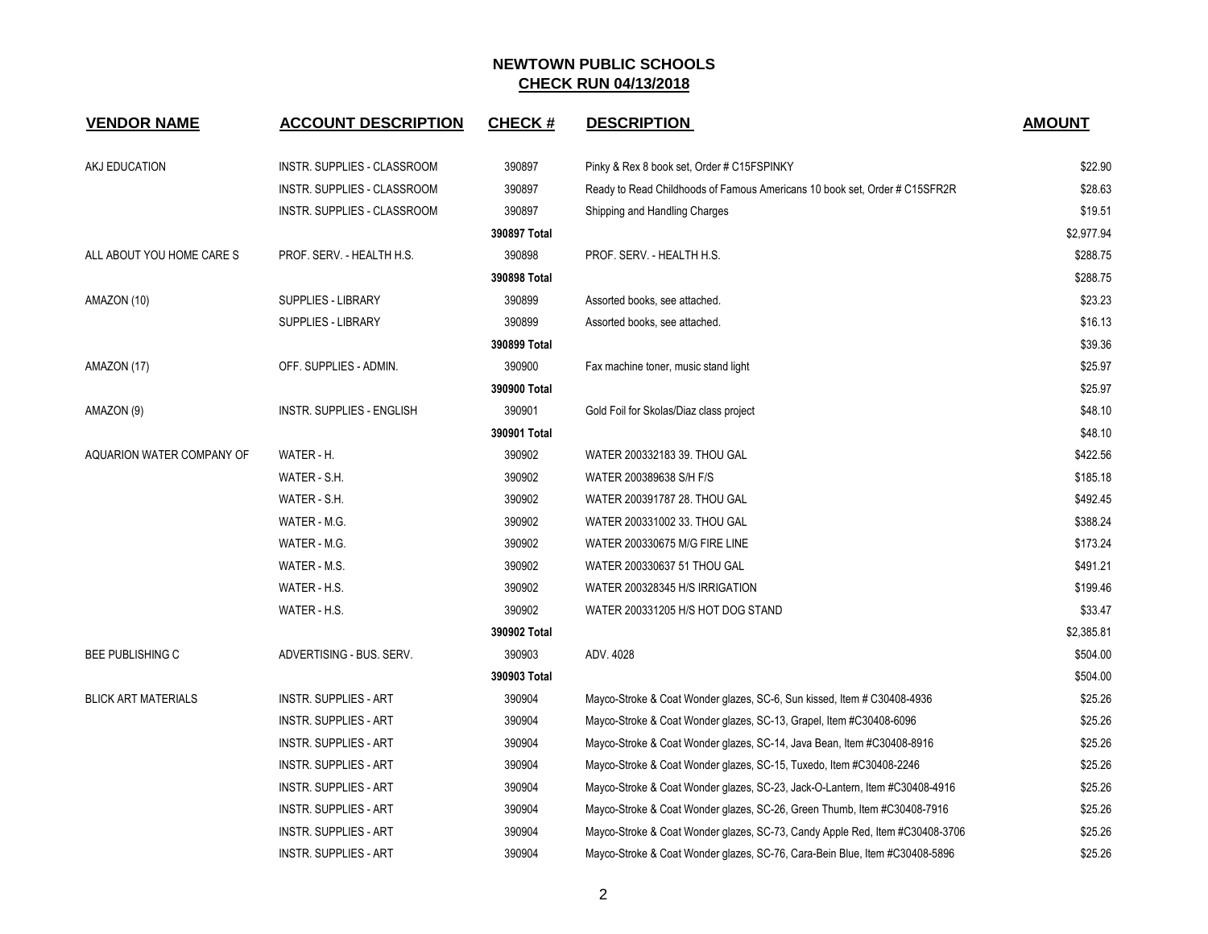| <b>VENDOR NAME</b>         | <b>ACCOUNT DESCRIPTION</b>   | <b>CHECK#</b> | <b>DESCRIPTION</b>                                                           | <b>AMOUNT</b> |
|----------------------------|------------------------------|---------------|------------------------------------------------------------------------------|---------------|
| AKJ EDUCATION              | INSTR. SUPPLIES - CLASSROOM  | 390897        | Pinky & Rex 8 book set, Order # C15FSPINKY                                   | \$22.90       |
|                            | INSTR. SUPPLIES - CLASSROOM  | 390897        | Ready to Read Childhoods of Famous Americans 10 book set, Order # C15SFR2R   | \$28.63       |
|                            | INSTR. SUPPLIES - CLASSROOM  | 390897        | Shipping and Handling Charges                                                | \$19.51       |
|                            |                              | 390897 Total  |                                                                              | \$2,977.94    |
| ALL ABOUT YOU HOME CARE S  | PROF. SERV. - HEALTH H.S.    | 390898        | PROF. SERV. - HEALTH H.S.                                                    | \$288.75      |
|                            |                              | 390898 Total  |                                                                              | \$288.75      |
| AMAZON (10)                | <b>SUPPLIES - LIBRARY</b>    | 390899        | Assorted books, see attached.                                                | \$23.23       |
|                            | <b>SUPPLIES - LIBRARY</b>    | 390899        | Assorted books, see attached.                                                | \$16.13       |
|                            |                              | 390899 Total  |                                                                              | \$39.36       |
| AMAZON (17)                | OFF. SUPPLIES - ADMIN.       | 390900        | Fax machine toner, music stand light                                         | \$25.97       |
|                            |                              | 390900 Total  |                                                                              | \$25.97       |
| AMAZON (9)                 | INSTR. SUPPLIES - ENGLISH    | 390901        | Gold Foil for Skolas/Diaz class project                                      | \$48.10       |
|                            |                              | 390901 Total  |                                                                              | \$48.10       |
| AQUARION WATER COMPANY OF  | WATER - H.                   | 390902        | WATER 200332183 39. THOU GAL                                                 | \$422.56      |
|                            | WATER - S.H.                 | 390902        | WATER 200389638 S/H F/S                                                      | \$185.18      |
|                            | WATER - S.H.                 | 390902        | WATER 200391787 28. THOU GAL                                                 | \$492.45      |
|                            | WATER - M.G.                 | 390902        | WATER 200331002 33. THOU GAL                                                 | \$388.24      |
|                            | WATER - M.G.                 | 390902        | WATER 200330675 M/G FIRE LINE                                                | \$173.24      |
|                            | WATER - M.S.                 | 390902        | WATER 200330637 51 THOU GAL                                                  | \$491.21      |
|                            | WATER - H.S.                 | 390902        | WATER 200328345 H/S IRRIGATION                                               | \$199.46      |
|                            | WATER - H.S.                 | 390902        | WATER 200331205 H/S HOT DOG STAND                                            | \$33.47       |
|                            |                              | 390902 Total  |                                                                              | \$2,385.81    |
| <b>BEE PUBLISHING C</b>    | ADVERTISING - BUS. SERV.     | 390903        | ADV. 4028                                                                    | \$504.00      |
|                            |                              | 390903 Total  |                                                                              | \$504.00      |
| <b>BLICK ART MATERIALS</b> | <b>INSTR. SUPPLIES - ART</b> | 390904        | Mayco-Stroke & Coat Wonder glazes, SC-6, Sun kissed, Item # C30408-4936      | \$25.26       |
|                            | <b>INSTR. SUPPLIES - ART</b> | 390904        | Mayco-Stroke & Coat Wonder glazes, SC-13, Grapel, Item #C30408-6096          | \$25.26       |
|                            | <b>INSTR. SUPPLIES - ART</b> | 390904        | Mayco-Stroke & Coat Wonder glazes, SC-14, Java Bean, Item #C30408-8916       | \$25.26       |
|                            | <b>INSTR. SUPPLIES - ART</b> | 390904        | Mayco-Stroke & Coat Wonder glazes, SC-15, Tuxedo, Item #C30408-2246          | \$25.26       |
|                            | <b>INSTR. SUPPLIES - ART</b> | 390904        | Mayco-Stroke & Coat Wonder glazes, SC-23, Jack-O-Lantern, Item #C30408-4916  | \$25.26       |
|                            | <b>INSTR. SUPPLIES - ART</b> | 390904        | Mayco-Stroke & Coat Wonder glazes, SC-26, Green Thumb, Item #C30408-7916     | \$25.26       |
|                            | <b>INSTR. SUPPLIES - ART</b> | 390904        | Mayco-Stroke & Coat Wonder glazes, SC-73, Candy Apple Red, Item #C30408-3706 | \$25.26       |
|                            | <b>INSTR. SUPPLIES - ART</b> | 390904        | Mayco-Stroke & Coat Wonder glazes, SC-76, Cara-Bein Blue, Item #C30408-5896  | \$25.26       |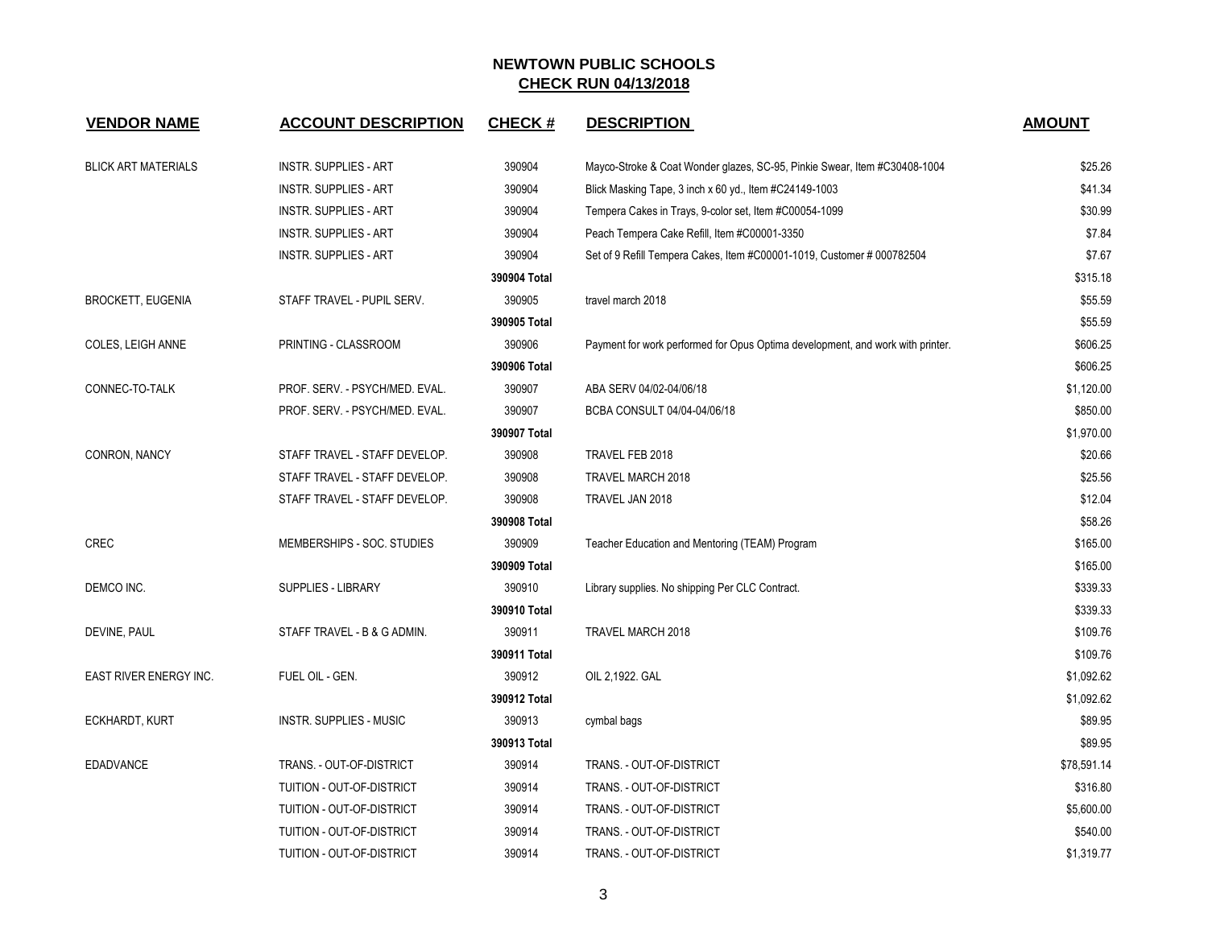| <b>VENDOR NAME</b>         | <b>ACCOUNT DESCRIPTION</b>     | <b>CHECK#</b> | <b>DESCRIPTION</b>                                                             | <b>AMOUNT</b> |
|----------------------------|--------------------------------|---------------|--------------------------------------------------------------------------------|---------------|
| <b>BLICK ART MATERIALS</b> | <b>INSTR. SUPPLIES - ART</b>   | 390904        | Mayco-Stroke & Coat Wonder glazes, SC-95, Pinkie Swear, Item #C30408-1004      | \$25.26       |
|                            | <b>INSTR. SUPPLIES - ART</b>   | 390904        | Blick Masking Tape, 3 inch x 60 yd., Item #C24149-1003                         | \$41.34       |
|                            | <b>INSTR. SUPPLIES - ART</b>   | 390904        | Tempera Cakes in Trays, 9-color set, Item #C00054-1099                         | \$30.99       |
|                            | <b>INSTR. SUPPLIES - ART</b>   | 390904        | Peach Tempera Cake Refill, Item #C00001-3350                                   | \$7.84        |
|                            | <b>INSTR. SUPPLIES - ART</b>   | 390904        | Set of 9 Refill Tempera Cakes, Item #C00001-1019, Customer # 000782504         | \$7.67        |
|                            |                                | 390904 Total  |                                                                                | \$315.18      |
| <b>BROCKETT, EUGENIA</b>   | STAFF TRAVEL - PUPIL SERV.     | 390905        | travel march 2018                                                              | \$55.59       |
|                            |                                | 390905 Total  |                                                                                | \$55.59       |
| COLES, LEIGH ANNE          | PRINTING - CLASSROOM           | 390906        | Payment for work performed for Opus Optima development, and work with printer. | \$606.25      |
|                            |                                | 390906 Total  |                                                                                | \$606.25      |
| CONNEC-TO-TALK             | PROF. SERV. - PSYCH/MED. EVAL. | 390907        | ABA SERV 04/02-04/06/18                                                        | \$1,120.00    |
|                            | PROF. SERV. - PSYCH/MED. EVAL. | 390907        | BCBA CONSULT 04/04-04/06/18                                                    | \$850.00      |
|                            |                                | 390907 Total  |                                                                                | \$1,970.00    |
| CONRON, NANCY              | STAFF TRAVEL - STAFF DEVELOP.  | 390908        | TRAVEL FEB 2018                                                                | \$20.66       |
|                            | STAFF TRAVEL - STAFF DEVELOP.  | 390908        | TRAVEL MARCH 2018                                                              | \$25.56       |
|                            | STAFF TRAVEL - STAFF DEVELOP.  | 390908        | TRAVEL JAN 2018                                                                | \$12.04       |
|                            |                                | 390908 Total  |                                                                                | \$58.26       |
| <b>CREC</b>                | MEMBERSHIPS - SOC. STUDIES     | 390909        | Teacher Education and Mentoring (TEAM) Program                                 | \$165.00      |
|                            |                                | 390909 Total  |                                                                                | \$165.00      |
| DEMCO INC.                 | <b>SUPPLIES - LIBRARY</b>      | 390910        | Library supplies. No shipping Per CLC Contract.                                | \$339.33      |
|                            |                                | 390910 Total  |                                                                                | \$339.33      |
| DEVINE, PAUL               | STAFF TRAVEL - B & G ADMIN.    | 390911        | TRAVEL MARCH 2018                                                              | \$109.76      |
|                            |                                | 390911 Total  |                                                                                | \$109.76      |
| EAST RIVER ENERGY INC.     | FUEL OIL - GEN.                | 390912        | OIL 2,1922. GAL                                                                | \$1,092.62    |
|                            |                                | 390912 Total  |                                                                                | \$1,092.62    |
| ECKHARDT, KURT             | <b>INSTR. SUPPLIES - MUSIC</b> | 390913        | cymbal bags                                                                    | \$89.95       |
|                            |                                | 390913 Total  |                                                                                | \$89.95       |
| <b>EDADVANCE</b>           | TRANS. - OUT-OF-DISTRICT       | 390914        | TRANS. - OUT-OF-DISTRICT                                                       | \$78,591.14   |
|                            | TUITION - OUT-OF-DISTRICT      | 390914        | TRANS. - OUT-OF-DISTRICT                                                       | \$316.80      |
|                            | TUITION - OUT-OF-DISTRICT      | 390914        | TRANS. - OUT-OF-DISTRICT                                                       | \$5,600.00    |
|                            | TUITION - OUT-OF-DISTRICT      | 390914        | TRANS. - OUT-OF-DISTRICT                                                       | \$540.00      |
|                            | TUITION - OUT-OF-DISTRICT      | 390914        | TRANS. - OUT-OF-DISTRICT                                                       | \$1,319.77    |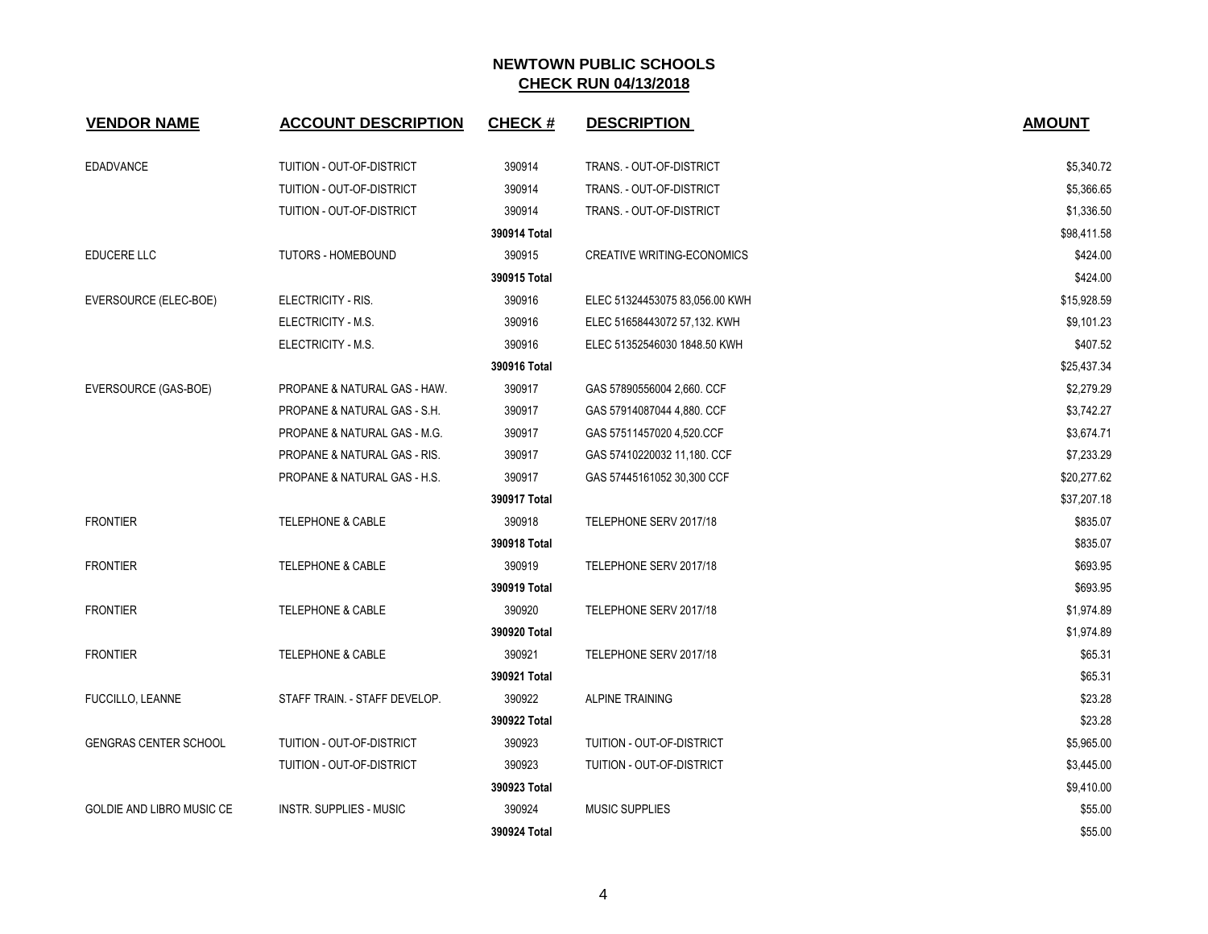| <b>VENDOR NAME</b>               | <b>ACCOUNT DESCRIPTION</b>    | <b>CHECK#</b> | <b>DESCRIPTION</b>                | <b>AMOUNT</b> |
|----------------------------------|-------------------------------|---------------|-----------------------------------|---------------|
| <b>EDADVANCE</b>                 | TUITION - OUT-OF-DISTRICT     | 390914        | TRANS. - OUT-OF-DISTRICT          | \$5,340.72    |
|                                  | TUITION - OUT-OF-DISTRICT     | 390914        | TRANS. - OUT-OF-DISTRICT          | \$5,366.65    |
|                                  | TUITION - OUT-OF-DISTRICT     | 390914        | TRANS. - OUT-OF-DISTRICT          | \$1,336.50    |
|                                  |                               | 390914 Total  |                                   | \$98,411.58   |
| <b>EDUCERE LLC</b>               | <b>TUTORS - HOMEBOUND</b>     | 390915        | <b>CREATIVE WRITING-ECONOMICS</b> | \$424.00      |
|                                  |                               | 390915 Total  |                                   | \$424.00      |
| EVERSOURCE (ELEC-BOE)            | ELECTRICITY - RIS.            | 390916        | ELEC 51324453075 83,056.00 KWH    | \$15,928.59   |
|                                  | ELECTRICITY - M.S.            | 390916        | ELEC 51658443072 57,132. KWH      | \$9,101.23    |
|                                  | ELECTRICITY - M.S.            | 390916        | ELEC 51352546030 1848.50 KWH      | \$407.52      |
|                                  |                               | 390916 Total  |                                   | \$25,437.34   |
| EVERSOURCE (GAS-BOE)             | PROPANE & NATURAL GAS - HAW.  | 390917        | GAS 57890556004 2,660. CCF        | \$2,279.29    |
|                                  | PROPANE & NATURAL GAS - S.H.  | 390917        | GAS 57914087044 4,880. CCF        | \$3,742.27    |
|                                  | PROPANE & NATURAL GAS - M.G.  | 390917        | GAS 57511457020 4,520.CCF         | \$3,674.71    |
|                                  | PROPANE & NATURAL GAS - RIS.  | 390917        | GAS 57410220032 11,180. CCF       | \$7,233.29    |
|                                  | PROPANE & NATURAL GAS - H.S.  | 390917        | GAS 57445161052 30,300 CCF        | \$20,277.62   |
|                                  |                               | 390917 Total  |                                   | \$37,207.18   |
| <b>FRONTIER</b>                  | <b>TELEPHONE &amp; CABLE</b>  | 390918        | TELEPHONE SERV 2017/18            | \$835.07      |
|                                  |                               | 390918 Total  |                                   | \$835.07      |
| <b>FRONTIER</b>                  | <b>TELEPHONE &amp; CABLE</b>  | 390919        | TELEPHONE SERV 2017/18            | \$693.95      |
|                                  |                               | 390919 Total  |                                   | \$693.95      |
| <b>FRONTIER</b>                  | <b>TELEPHONE &amp; CABLE</b>  | 390920        | TELEPHONE SERV 2017/18            | \$1,974.89    |
|                                  |                               | 390920 Total  |                                   | \$1,974.89    |
| <b>FRONTIER</b>                  | <b>TELEPHONE &amp; CABLE</b>  | 390921        | TELEPHONE SERV 2017/18            | \$65.31       |
|                                  |                               | 390921 Total  |                                   | \$65.31       |
| <b>FUCCILLO, LEANNE</b>          | STAFF TRAIN. - STAFF DEVELOP. | 390922        | <b>ALPINE TRAINING</b>            | \$23.28       |
|                                  |                               | 390922 Total  |                                   | \$23.28       |
| <b>GENGRAS CENTER SCHOOL</b>     | TUITION - OUT-OF-DISTRICT     | 390923        | TUITION - OUT-OF-DISTRICT         | \$5,965.00    |
|                                  | TUITION - OUT-OF-DISTRICT     | 390923        | TUITION - OUT-OF-DISTRICT         | \$3,445.00    |
|                                  |                               | 390923 Total  |                                   | \$9,410.00    |
| <b>GOLDIE AND LIBRO MUSIC CE</b> | INSTR. SUPPLIES - MUSIC       | 390924        | <b>MUSIC SUPPLIES</b>             | \$55.00       |
|                                  |                               | 390924 Total  |                                   | \$55.00       |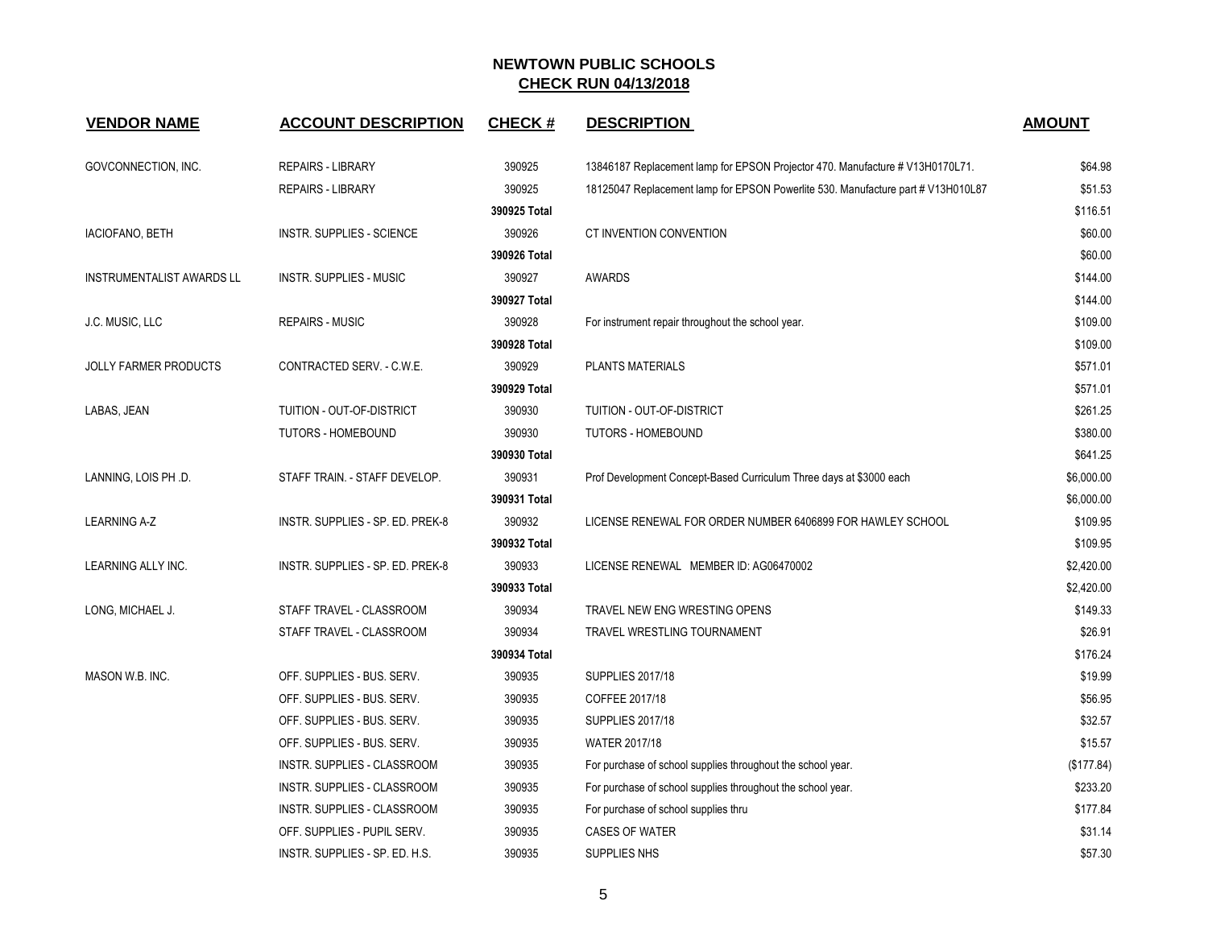| <b>VENDOR NAME</b>               | <b>ACCOUNT DESCRIPTION</b>       | <b>CHECK#</b> | <b>DESCRIPTION</b>                                                               | <b>AMOUNT</b> |
|----------------------------------|----------------------------------|---------------|----------------------------------------------------------------------------------|---------------|
| GOVCONNECTION, INC.              | <b>REPAIRS - LIBRARY</b>         | 390925        | 13846187 Replacement lamp for EPSON Projector 470. Manufacture # V13H0170L71.    | \$64.98       |
|                                  | <b>REPAIRS - LIBRARY</b>         | 390925        | 18125047 Replacement lamp for EPSON Powerlite 530. Manufacture part # V13H010L87 | \$51.53       |
|                                  |                                  | 390925 Total  |                                                                                  | \$116.51      |
| IACIOFANO, BETH                  | INSTR. SUPPLIES - SCIENCE        | 390926        | CT INVENTION CONVENTION                                                          | \$60.00       |
|                                  |                                  | 390926 Total  |                                                                                  | \$60.00       |
| <b>INSTRUMENTALIST AWARDS LL</b> | <b>INSTR. SUPPLIES - MUSIC</b>   | 390927        | <b>AWARDS</b>                                                                    | \$144.00      |
|                                  |                                  | 390927 Total  |                                                                                  | \$144.00      |
| J.C. MUSIC, LLC                  | <b>REPAIRS - MUSIC</b>           | 390928        | For instrument repair throughout the school year.                                | \$109.00      |
|                                  |                                  | 390928 Total  |                                                                                  | \$109.00      |
| <b>JOLLY FARMER PRODUCTS</b>     | CONTRACTED SERV. - C.W.E.        | 390929        | PLANTS MATERIALS                                                                 | \$571.01      |
|                                  |                                  | 390929 Total  |                                                                                  | \$571.01      |
| LABAS, JEAN                      | TUITION - OUT-OF-DISTRICT        | 390930        | TUITION - OUT-OF-DISTRICT                                                        | \$261.25      |
|                                  | <b>TUTORS - HOMEBOUND</b>        | 390930        | <b>TUTORS - HOMEBOUND</b>                                                        | \$380.00      |
|                                  |                                  | 390930 Total  |                                                                                  | \$641.25      |
| LANNING, LOIS PH .D.             | STAFF TRAIN. - STAFF DEVELOP.    | 390931        | Prof Development Concept-Based Curriculum Three days at \$3000 each              | \$6,000.00    |
|                                  |                                  | 390931 Total  |                                                                                  | \$6,000.00    |
| <b>LEARNING A-Z</b>              | INSTR. SUPPLIES - SP. ED. PREK-8 | 390932        | LICENSE RENEWAL FOR ORDER NUMBER 6406899 FOR HAWLEY SCHOOL                       | \$109.95      |
|                                  |                                  | 390932 Total  |                                                                                  | \$109.95      |
| LEARNING ALLY INC.               | INSTR. SUPPLIES - SP. ED. PREK-8 | 390933        | LICENSE RENEWAL MEMBER ID: AG06470002                                            | \$2,420.00    |
|                                  |                                  | 390933 Total  |                                                                                  | \$2,420.00    |
| LONG, MICHAEL J.                 | STAFF TRAVEL - CLASSROOM         | 390934        | TRAVEL NEW ENG WRESTING OPENS                                                    | \$149.33      |
|                                  | STAFF TRAVEL - CLASSROOM         | 390934        | TRAVEL WRESTLING TOURNAMENT                                                      | \$26.91       |
|                                  |                                  | 390934 Total  |                                                                                  | \$176.24      |
| MASON W.B. INC.                  | OFF. SUPPLIES - BUS. SERV.       | 390935        | <b>SUPPLIES 2017/18</b>                                                          | \$19.99       |
|                                  | OFF. SUPPLIES - BUS. SERV.       | 390935        | COFFEE 2017/18                                                                   | \$56.95       |
|                                  | OFF. SUPPLIES - BUS. SERV.       | 390935        | <b>SUPPLIES 2017/18</b>                                                          | \$32.57       |
|                                  | OFF. SUPPLIES - BUS. SERV.       | 390935        | <b>WATER 2017/18</b>                                                             | \$15.57       |
|                                  | INSTR. SUPPLIES - CLASSROOM      | 390935        | For purchase of school supplies throughout the school year.                      | (\$177.84)    |
|                                  | INSTR. SUPPLIES - CLASSROOM      | 390935        | For purchase of school supplies throughout the school year.                      | \$233.20      |
|                                  | INSTR. SUPPLIES - CLASSROOM      | 390935        | For purchase of school supplies thru                                             | \$177.84      |
|                                  | OFF. SUPPLIES - PUPIL SERV.      | 390935        | <b>CASES OF WATER</b>                                                            | \$31.14       |
|                                  | INSTR. SUPPLIES - SP. ED. H.S.   | 390935        | <b>SUPPLIES NHS</b>                                                              | \$57.30       |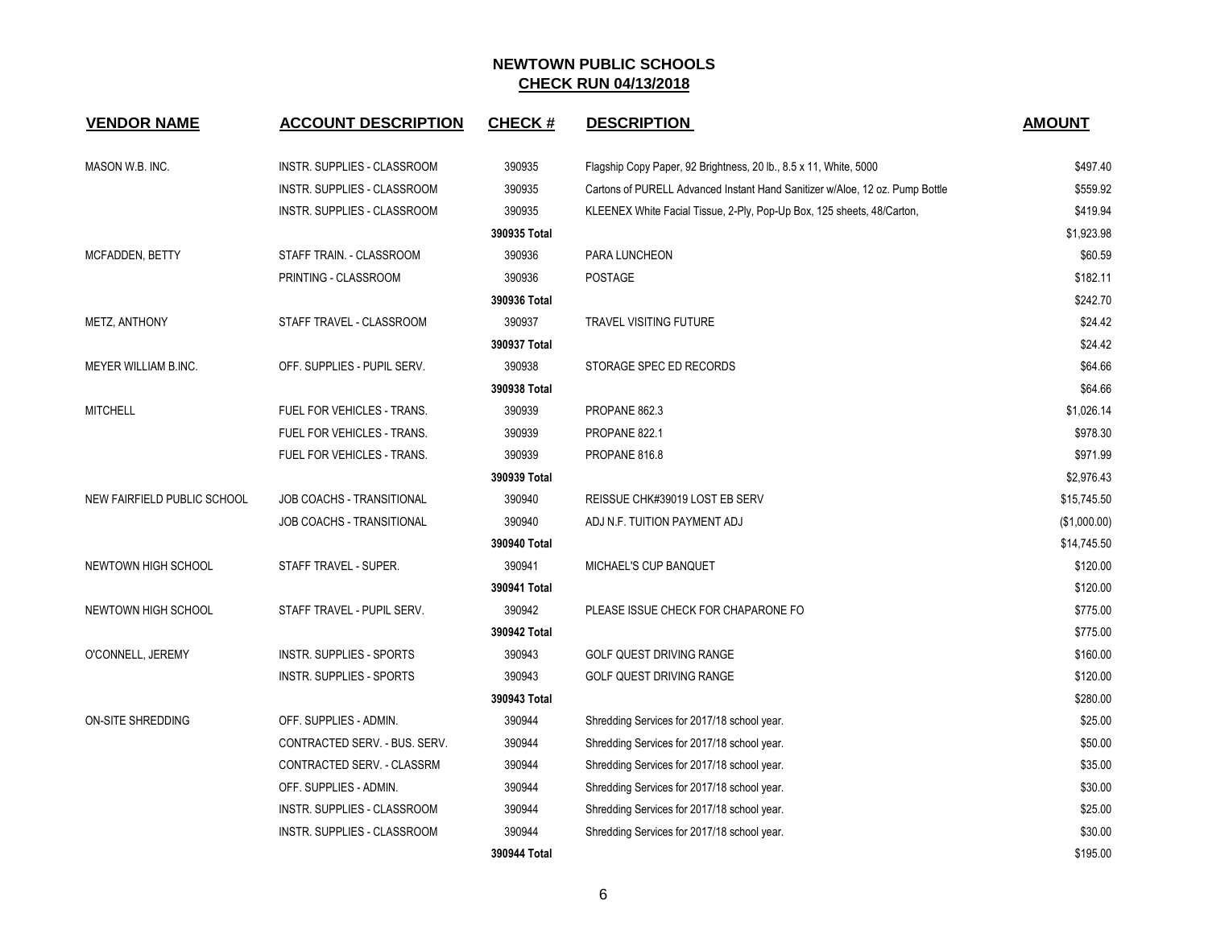| <b>VENDOR NAME</b>          | <b>ACCOUNT DESCRIPTION</b>      | <b>CHECK#</b> | <b>DESCRIPTION</b>                                                           | <b>AMOUNT</b> |
|-----------------------------|---------------------------------|---------------|------------------------------------------------------------------------------|---------------|
| MASON W.B. INC.             | INSTR. SUPPLIES - CLASSROOM     | 390935        | Flagship Copy Paper, 92 Brightness, 20 lb., 8.5 x 11, White, 5000            | \$497.40      |
|                             | INSTR. SUPPLIES - CLASSROOM     | 390935        | Cartons of PURELL Advanced Instant Hand Sanitizer w/Aloe, 12 oz. Pump Bottle | \$559.92      |
|                             | INSTR. SUPPLIES - CLASSROOM     | 390935        | KLEENEX White Facial Tissue, 2-Ply, Pop-Up Box, 125 sheets, 48/Carton,       | \$419.94      |
|                             |                                 | 390935 Total  |                                                                              | \$1,923.98    |
| MCFADDEN, BETTY             | STAFF TRAIN. - CLASSROOM        | 390936        | PARA LUNCHEON                                                                | \$60.59       |
|                             | PRINTING - CLASSROOM            | 390936        | <b>POSTAGE</b>                                                               | \$182.11      |
|                             |                                 | 390936 Total  |                                                                              | \$242.70      |
| METZ, ANTHONY               | STAFF TRAVEL - CLASSROOM        | 390937        | <b>TRAVEL VISITING FUTURE</b>                                                | \$24.42       |
|                             |                                 | 390937 Total  |                                                                              | \$24.42       |
| MEYER WILLIAM B.INC.        | OFF. SUPPLIES - PUPIL SERV.     | 390938        | STORAGE SPEC ED RECORDS                                                      | \$64.66       |
|                             |                                 | 390938 Total  |                                                                              | \$64.66       |
| <b>MITCHELL</b>             | FUEL FOR VEHICLES - TRANS.      | 390939        | PROPANE 862.3                                                                | \$1,026.14    |
|                             | FUEL FOR VEHICLES - TRANS.      | 390939        | PROPANE 822.1                                                                | \$978.30      |
|                             | FUEL FOR VEHICLES - TRANS.      | 390939        | PROPANE 816.8                                                                | \$971.99      |
|                             |                                 | 390939 Total  |                                                                              | \$2,976.43    |
| NEW FAIRFIELD PUBLIC SCHOOL | JOB COACHS - TRANSITIONAL       | 390940        | REISSUE CHK#39019 LOST EB SERV                                               | \$15,745.50   |
|                             | JOB COACHS - TRANSITIONAL       | 390940        | ADJ N.F. TUITION PAYMENT ADJ                                                 | (\$1,000.00)  |
|                             |                                 | 390940 Total  |                                                                              | \$14,745.50   |
| NEWTOWN HIGH SCHOOL         | STAFF TRAVEL - SUPER.           | 390941        | MICHAEL'S CUP BANQUET                                                        | \$120.00      |
|                             |                                 | 390941 Total  |                                                                              | \$120.00      |
| NEWTOWN HIGH SCHOOL         | STAFF TRAVEL - PUPIL SERV.      | 390942        | PLEASE ISSUE CHECK FOR CHAPARONE FO                                          | \$775.00      |
|                             |                                 | 390942 Total  |                                                                              | \$775.00      |
| O'CONNELL, JEREMY           | <b>INSTR. SUPPLIES - SPORTS</b> | 390943        | GOLF QUEST DRIVING RANGE                                                     | \$160.00      |
|                             | <b>INSTR. SUPPLIES - SPORTS</b> | 390943        | <b>GOLF QUEST DRIVING RANGE</b>                                              | \$120.00      |
|                             |                                 | 390943 Total  |                                                                              | \$280.00      |
| ON-SITE SHREDDING           | OFF. SUPPLIES - ADMIN.          | 390944        | Shredding Services for 2017/18 school year.                                  | \$25.00       |
|                             | CONTRACTED SERV. - BUS. SERV.   | 390944        | Shredding Services for 2017/18 school year.                                  | \$50.00       |
|                             | CONTRACTED SERV. - CLASSRM      | 390944        | Shredding Services for 2017/18 school year.                                  | \$35.00       |
|                             | OFF. SUPPLIES - ADMIN.          | 390944        | Shredding Services for 2017/18 school year.                                  | \$30.00       |
|                             | INSTR. SUPPLIES - CLASSROOM     | 390944        | Shredding Services for 2017/18 school year.                                  | \$25.00       |
|                             | INSTR. SUPPLIES - CLASSROOM     | 390944        | Shredding Services for 2017/18 school year.                                  | \$30.00       |
|                             |                                 | 390944 Total  |                                                                              | \$195.00      |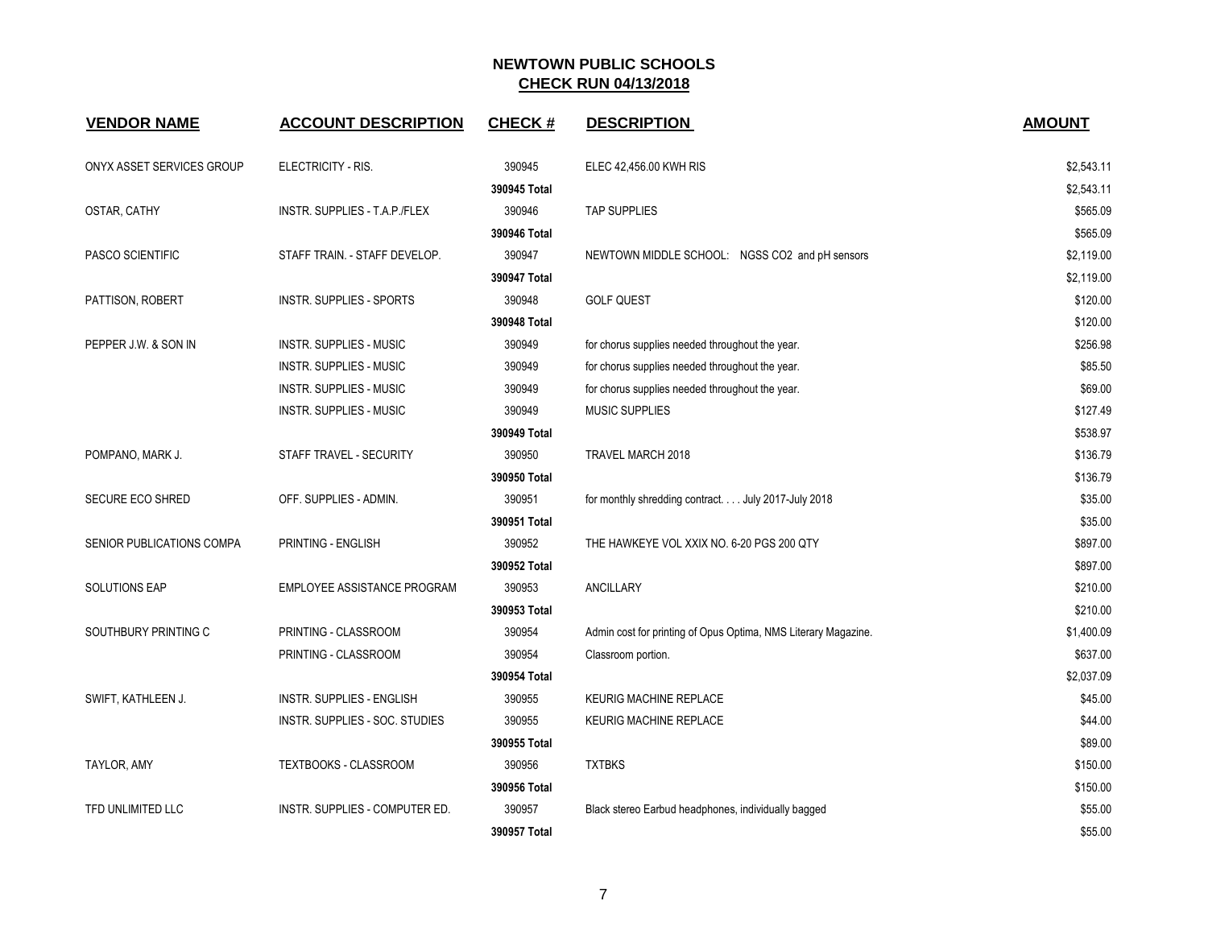| <b>VENDOR NAME</b>        | <b>ACCOUNT DESCRIPTION</b>      | <b>CHECK#</b> | <b>DESCRIPTION</b>                                             | <b>AMOUNT</b> |
|---------------------------|---------------------------------|---------------|----------------------------------------------------------------|---------------|
| ONYX ASSET SERVICES GROUP | ELECTRICITY - RIS.              | 390945        | ELEC 42,456.00 KWH RIS                                         | \$2,543.11    |
|                           |                                 | 390945 Total  |                                                                | \$2,543.11    |
| OSTAR, CATHY              | INSTR. SUPPLIES - T.A.P./FLEX   | 390946        | <b>TAP SUPPLIES</b>                                            | \$565.09      |
|                           |                                 | 390946 Total  |                                                                | \$565.09      |
| PASCO SCIENTIFIC          | STAFF TRAIN. - STAFF DEVELOP.   | 390947        | NEWTOWN MIDDLE SCHOOL: NGSS CO2 and pH sensors                 | \$2,119.00    |
|                           |                                 | 390947 Total  |                                                                | \$2,119.00    |
| PATTISON, ROBERT          | <b>INSTR. SUPPLIES - SPORTS</b> | 390948        | <b>GOLF QUEST</b>                                              | \$120.00      |
|                           |                                 | 390948 Total  |                                                                | \$120.00      |
| PEPPER J.W. & SON IN      | <b>INSTR. SUPPLIES - MUSIC</b>  | 390949        | for chorus supplies needed throughout the year.                | \$256.98      |
|                           | <b>INSTR. SUPPLIES - MUSIC</b>  | 390949        | for chorus supplies needed throughout the year.                | \$85.50       |
|                           | <b>INSTR. SUPPLIES - MUSIC</b>  | 390949        | for chorus supplies needed throughout the year.                | \$69.00       |
|                           | <b>INSTR. SUPPLIES - MUSIC</b>  | 390949        | <b>MUSIC SUPPLIES</b>                                          | \$127.49      |
|                           |                                 | 390949 Total  |                                                                | \$538.97      |
| POMPANO, MARK J.          | STAFF TRAVEL - SECURITY         | 390950        | TRAVEL MARCH 2018                                              | \$136.79      |
|                           |                                 | 390950 Total  |                                                                | \$136.79      |
| SECURE ECO SHRED          | OFF. SUPPLIES - ADMIN.          | 390951        | for monthly shredding contract. July 2017-July 2018            | \$35.00       |
|                           |                                 | 390951 Total  |                                                                | \$35.00       |
| SENIOR PUBLICATIONS COMPA | PRINTING - ENGLISH              | 390952        | THE HAWKEYE VOL XXIX NO. 6-20 PGS 200 QTY                      | \$897.00      |
|                           |                                 | 390952 Total  |                                                                | \$897.00      |
| SOLUTIONS EAP             | EMPLOYEE ASSISTANCE PROGRAM     | 390953        | ANCILLARY                                                      | \$210.00      |
|                           |                                 | 390953 Total  |                                                                | \$210.00      |
| SOUTHBURY PRINTING C      | PRINTING - CLASSROOM            | 390954        | Admin cost for printing of Opus Optima, NMS Literary Magazine. | \$1,400.09    |
|                           | PRINTING - CLASSROOM            | 390954        | Classroom portion.                                             | \$637.00      |
|                           |                                 | 390954 Total  |                                                                | \$2,037.09    |
| SWIFT, KATHLEEN J.        | INSTR. SUPPLIES - ENGLISH       | 390955        | <b>KEURIG MACHINE REPLACE</b>                                  | \$45.00       |
|                           | INSTR. SUPPLIES - SOC. STUDIES  | 390955        | <b>KEURIG MACHINE REPLACE</b>                                  | \$44.00       |
|                           |                                 | 390955 Total  |                                                                | \$89.00       |
| TAYLOR, AMY               | TEXTBOOKS - CLASSROOM           | 390956        | <b>TXTBKS</b>                                                  | \$150.00      |
|                           |                                 | 390956 Total  |                                                                | \$150.00      |
| TFD UNLIMITED LLC         | INSTR. SUPPLIES - COMPUTER ED.  | 390957        | Black stereo Earbud headphones, individually bagged            | \$55.00       |
|                           |                                 | 390957 Total  |                                                                | \$55.00       |